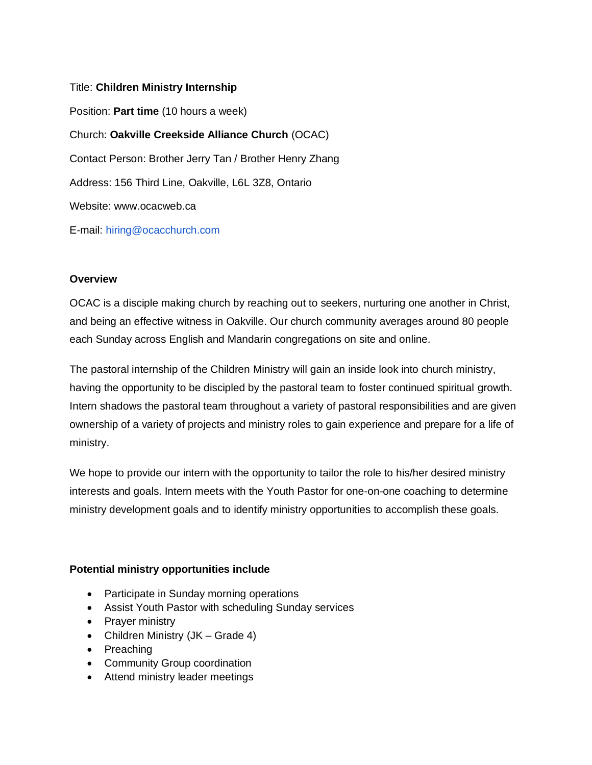# Title: **Children Ministry Internship**

Position: **Part time** (10 hours a week) Church: **Oakville Creekside Alliance Church** (OCAC) Contact Person: Brother Jerry Tan / Brother Henry Zhang Address: 156 Third Line, Oakville, L6L 3Z8, Ontario Website: www.ocacweb.ca E-mail: hiring@ocacchurch.com

## **Overview**

OCAC is a disciple making church by reaching out to seekers, nurturing one another in Christ, and being an effective witness in Oakville. Our church community averages around 80 people each Sunday across English and Mandarin congregations on site and online.

The pastoral internship of the Children Ministry will gain an inside look into church ministry, having the opportunity to be discipled by the pastoral team to foster continued spiritual growth. Intern shadows the pastoral team throughout a variety of pastoral responsibilities and are given ownership of a variety of projects and ministry roles to gain experience and prepare for a life of ministry.

We hope to provide our intern with the opportunity to tailor the role to his/her desired ministry interests and goals. Intern meets with the Youth Pastor for one-on-one coaching to determine ministry development goals and to identify ministry opportunities to accomplish these goals.

## **Potential ministry opportunities include**

- Participate in Sunday morning operations
- Assist Youth Pastor with scheduling Sunday services
- Prayer ministry
- Children Ministry (JK Grade 4)
- Preaching
- Community Group coordination
- Attend ministry leader meetings